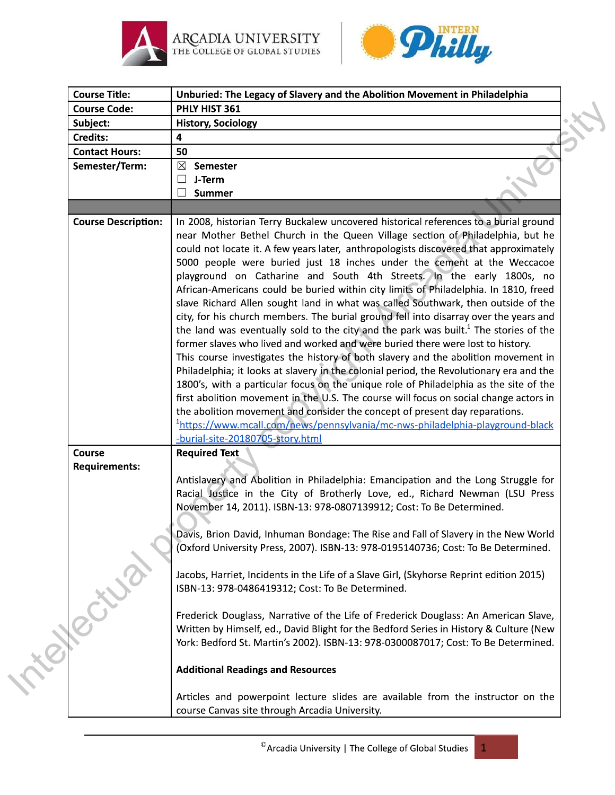





| <b>Course Title:</b>       | Unburied: The Legacy of Slavery and the Abolition Movement in Philadelphia                                                                                                                                                                                                                                                                                                                                                                                                                                                                                                                                                                                                                                                                                                                                                                                                                                                                                                                                                                                                                                                                                                                                                                                                                                                                                                                                                                                         |  |
|----------------------------|--------------------------------------------------------------------------------------------------------------------------------------------------------------------------------------------------------------------------------------------------------------------------------------------------------------------------------------------------------------------------------------------------------------------------------------------------------------------------------------------------------------------------------------------------------------------------------------------------------------------------------------------------------------------------------------------------------------------------------------------------------------------------------------------------------------------------------------------------------------------------------------------------------------------------------------------------------------------------------------------------------------------------------------------------------------------------------------------------------------------------------------------------------------------------------------------------------------------------------------------------------------------------------------------------------------------------------------------------------------------------------------------------------------------------------------------------------------------|--|
| <b>Course Code:</b>        | PHLY HIST 361                                                                                                                                                                                                                                                                                                                                                                                                                                                                                                                                                                                                                                                                                                                                                                                                                                                                                                                                                                                                                                                                                                                                                                                                                                                                                                                                                                                                                                                      |  |
| Subject:                   | <b>History, Sociology</b>                                                                                                                                                                                                                                                                                                                                                                                                                                                                                                                                                                                                                                                                                                                                                                                                                                                                                                                                                                                                                                                                                                                                                                                                                                                                                                                                                                                                                                          |  |
| Credits:                   | $\overline{\mathbf{4}}$                                                                                                                                                                                                                                                                                                                                                                                                                                                                                                                                                                                                                                                                                                                                                                                                                                                                                                                                                                                                                                                                                                                                                                                                                                                                                                                                                                                                                                            |  |
| <b>Contact Hours:</b>      | 50                                                                                                                                                                                                                                                                                                                                                                                                                                                                                                                                                                                                                                                                                                                                                                                                                                                                                                                                                                                                                                                                                                                                                                                                                                                                                                                                                                                                                                                                 |  |
| Semester/Term:             | $\boxtimes$ Semester                                                                                                                                                                                                                                                                                                                                                                                                                                                                                                                                                                                                                                                                                                                                                                                                                                                                                                                                                                                                                                                                                                                                                                                                                                                                                                                                                                                                                                               |  |
|                            | J-Term                                                                                                                                                                                                                                                                                                                                                                                                                                                                                                                                                                                                                                                                                                                                                                                                                                                                                                                                                                                                                                                                                                                                                                                                                                                                                                                                                                                                                                                             |  |
|                            | Summer                                                                                                                                                                                                                                                                                                                                                                                                                                                                                                                                                                                                                                                                                                                                                                                                                                                                                                                                                                                                                                                                                                                                                                                                                                                                                                                                                                                                                                                             |  |
|                            |                                                                                                                                                                                                                                                                                                                                                                                                                                                                                                                                                                                                                                                                                                                                                                                                                                                                                                                                                                                                                                                                                                                                                                                                                                                                                                                                                                                                                                                                    |  |
| <b>Course Description:</b> | In 2008, historian Terry Buckalew uncovered historical references to a burial ground<br>near Mother Bethel Church in the Queen Village section of Philadelphia, but he<br>could not locate it. A few years later, anthropologists discovered that approximately<br>5000 people were buried just 18 inches under the cement at the Weccacoe<br>playground on Catharine and South 4th Streets. In the early 1800s, no<br>African-Americans could be buried within city limits of Philadelphia. In 1810, freed<br>slave Richard Allen sought land in what was called Southwark, then outside of the<br>city, for his church members. The burial ground fell into disarray over the years and<br>the land was eventually sold to the city and the park was built. <sup>1</sup> The stories of the<br>former slaves who lived and worked and were buried there were lost to history.<br>This course investigates the history of both slavery and the abolition movement in<br>Philadelphia; it looks at slavery in the colonial period, the Revolutionary era and the<br>1800's, with a particular focus on the unique role of Philadelphia as the site of the<br>first abolition movement in the U.S. The course will focus on social change actors in<br>the abolition movement and consider the concept of present day reparations.<br><sup>1</sup> https://www.mcall.com/news/pennsylvania/mc-nws-philadelphia-playground-black<br>-burial-site-20180705-story.html |  |
| <b>Course</b>              | <b>Required Text</b>                                                                                                                                                                                                                                                                                                                                                                                                                                                                                                                                                                                                                                                                                                                                                                                                                                                                                                                                                                                                                                                                                                                                                                                                                                                                                                                                                                                                                                               |  |
| <b>Requirements:</b>       |                                                                                                                                                                                                                                                                                                                                                                                                                                                                                                                                                                                                                                                                                                                                                                                                                                                                                                                                                                                                                                                                                                                                                                                                                                                                                                                                                                                                                                                                    |  |
|                            | Antislavery and Abolition in Philadelphia: Emancipation and the Long Struggle for                                                                                                                                                                                                                                                                                                                                                                                                                                                                                                                                                                                                                                                                                                                                                                                                                                                                                                                                                                                                                                                                                                                                                                                                                                                                                                                                                                                  |  |
|                            | Racial Justice in the City of Brotherly Love, ed., Richard Newman (LSU Press<br>November 14, 2011). ISBN-13: 978-0807139912; Cost: To Be Determined.                                                                                                                                                                                                                                                                                                                                                                                                                                                                                                                                                                                                                                                                                                                                                                                                                                                                                                                                                                                                                                                                                                                                                                                                                                                                                                               |  |
|                            | Davis, Brion David, Inhuman Bondage: The Rise and Fall of Slavery in the New World<br>(Oxford University Press, 2007). ISBN-13: 978-0195140736; Cost: To Be Determined.                                                                                                                                                                                                                                                                                                                                                                                                                                                                                                                                                                                                                                                                                                                                                                                                                                                                                                                                                                                                                                                                                                                                                                                                                                                                                            |  |
|                            | Jacobs, Harriet, Incidents in the Life of a Slave Girl, (Skyhorse Reprint edition 2015)<br>ISBN-13: 978-0486419312; Cost: To Be Determined.                                                                                                                                                                                                                                                                                                                                                                                                                                                                                                                                                                                                                                                                                                                                                                                                                                                                                                                                                                                                                                                                                                                                                                                                                                                                                                                        |  |
| is to this                 | Frederick Douglass, Narrative of the Life of Frederick Douglass: An American Slave,<br>Written by Himself, ed., David Blight for the Bedford Series in History & Culture (New<br>York: Bedford St. Martin's 2002). ISBN-13: 978-0300087017; Cost: To Be Determined.                                                                                                                                                                                                                                                                                                                                                                                                                                                                                                                                                                                                                                                                                                                                                                                                                                                                                                                                                                                                                                                                                                                                                                                                |  |
|                            | <b>Additional Readings and Resources</b>                                                                                                                                                                                                                                                                                                                                                                                                                                                                                                                                                                                                                                                                                                                                                                                                                                                                                                                                                                                                                                                                                                                                                                                                                                                                                                                                                                                                                           |  |
|                            | Articles and powerpoint lecture slides are available from the instructor on the<br>course Canvas site through Arcadia University.                                                                                                                                                                                                                                                                                                                                                                                                                                                                                                                                                                                                                                                                                                                                                                                                                                                                                                                                                                                                                                                                                                                                                                                                                                                                                                                                  |  |

 $\,1\,$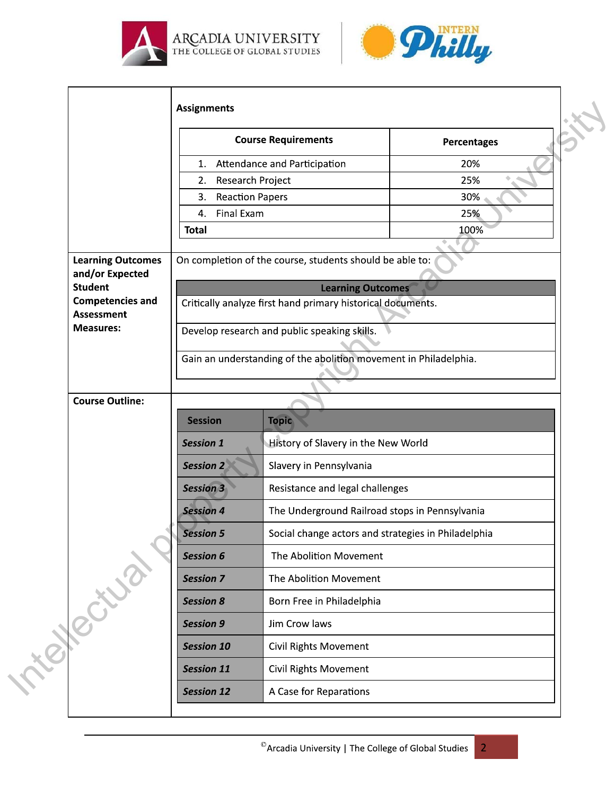





|                                             |                                                                                         | <b>Course Requirements</b>                          | <b>Percentages</b> |  |  |
|---------------------------------------------|-----------------------------------------------------------------------------------------|-----------------------------------------------------|--------------------|--|--|
|                                             | 1.                                                                                      | Attendance and Participation                        | 20%                |  |  |
|                                             | Research Project<br>2.                                                                  |                                                     | 25%                |  |  |
|                                             | <b>Reaction Papers</b><br>3.                                                            |                                                     | 30%<br>25%         |  |  |
|                                             | Final Exam<br>4.                                                                        |                                                     |                    |  |  |
|                                             | <b>Total</b>                                                                            |                                                     | 100%               |  |  |
| <b>Learning Outcomes</b><br>and/or Expected | $\mathcal{L}_{\mathcal{L}}$<br>On completion of the course, students should be able to: |                                                     |                    |  |  |
| <b>Student</b><br><b>Competencies and</b>   | <b>Learning Outcomes</b><br>Critically analyze first hand primary historical documents. |                                                     |                    |  |  |
| <b>Assessment</b><br><b>Measures:</b>       | Develop research and public speaking skills.                                            |                                                     |                    |  |  |
|                                             | Gain an understanding of the abolition movement in Philadelphia.                        |                                                     |                    |  |  |
| <b>Course Outline:</b><br>Texactual         |                                                                                         |                                                     |                    |  |  |
|                                             | <b>Session</b>                                                                          | <b>Topic</b>                                        |                    |  |  |
|                                             | <b>Session 1</b>                                                                        | History of Slavery in the New World                 |                    |  |  |
|                                             | Session 2                                                                               | Slavery in Pennsylvania                             |                    |  |  |
|                                             | <b>Session 3</b>                                                                        | Resistance and legal challenges                     |                    |  |  |
|                                             | <b>Session 4</b>                                                                        | The Underground Railroad stops in Pennsylvania      |                    |  |  |
|                                             | <b>Session 5</b>                                                                        | Social change actors and strategies in Philadelphia |                    |  |  |
|                                             | <b>Session 6</b>                                                                        | The Abolition Movement                              |                    |  |  |
|                                             | <b>Session 7</b>                                                                        | The Abolition Movement                              |                    |  |  |
|                                             | <b>Session 8</b>                                                                        | Born Free in Philadelphia                           |                    |  |  |
|                                             | <b>Session 9</b>                                                                        | Jim Crow laws                                       |                    |  |  |
|                                             | <b>Session 10</b>                                                                       | <b>Civil Rights Movement</b>                        |                    |  |  |
|                                             | <b>Session 11</b>                                                                       | <b>Civil Rights Movement</b>                        |                    |  |  |

 $\overline{2}$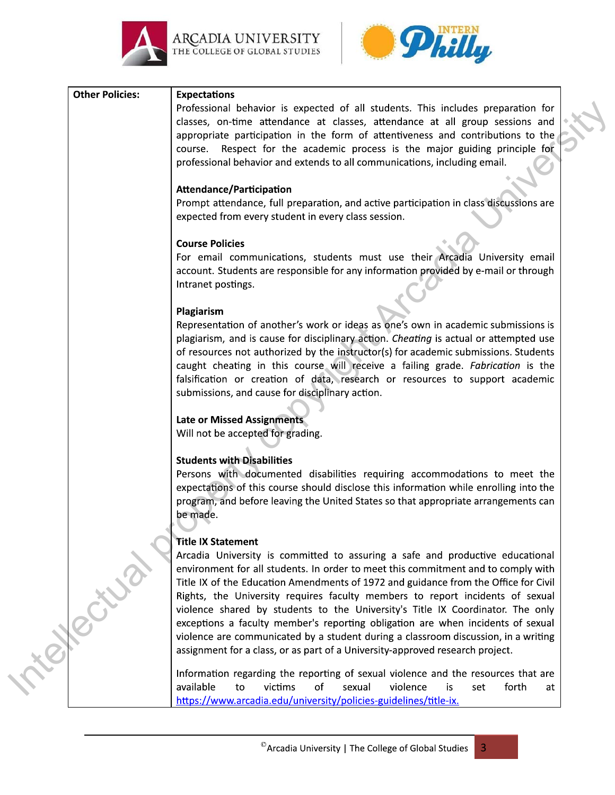